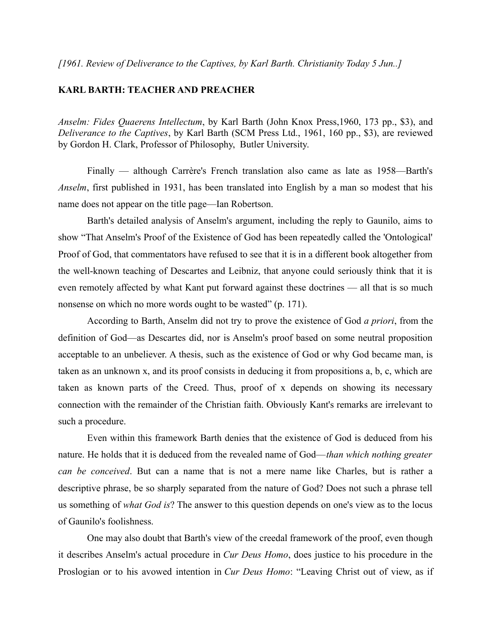## **KARL BARTH: TEACHER AND PREACHER**

*Anselm: Fides Quaerens Intellectum*, by Karl Barth (John Knox Press,1960, 173 pp., \$3), and *Deliverance to the Captives*, by Karl Barth (SCM Press Ltd., 1961, 160 pp., \$3), are reviewed by Gordon H. Clark, Professor of Philosophy, Butler University.

Finally — although Carrère's French translation also came as late as 1958—Barth's *Anselm*, first published in 1931, has been translated into English by a man so modest that his name does not appear on the title page—Ian Robertson.

Barth's detailed analysis of Anselm's argument, including the reply to Gaunilo, aims to show "That Anselm's Proof of the Existence of God has been repeatedly called the 'Ontological' Proof of God, that commentators have refused to see that it is in a different book altogether from the well-known teaching of Descartes and Leibniz, that anyone could seriously think that it is even remotely affected by what Kant put forward against these doctrines — all that is so much nonsense on which no more words ought to be wasted" (p. 171).

According to Barth, Anselm did not try to prove the existence of God *a priori*, from the definition of God—as Descartes did, nor is Anselm's proof based on some neutral proposition acceptable to an unbeliever. A thesis, such as the existence of God or why God became man, is taken as an unknown x, and its proof consists in deducing it from propositions a, b, c, which are taken as known parts of the Creed. Thus, proof of x depends on showing its necessary connection with the remainder of the Christian faith. Obviously Kant's remarks are irrelevant to such a procedure.

Even within this framework Barth denies that the existence of God is deduced from his nature. He holds that it is deduced from the revealed name of God—*than which nothing greater can be conceived*. But can a name that is not a mere name like Charles, but is rather a descriptive phrase, be so sharply separated from the nature of God? Does not such a phrase tell us something of *what God is*? The answer to this question depends on one's view as to the locus of Gaunilo's foolishness.

One may also doubt that Barth's view of the creedal framework of the proof, even though it describes Anselm's actual procedure in *Cur Deus Homo*, does justice to his procedure in the Proslogian or to his avowed intention in *Cur Deus Homo*: "Leaving Christ out of view, as if